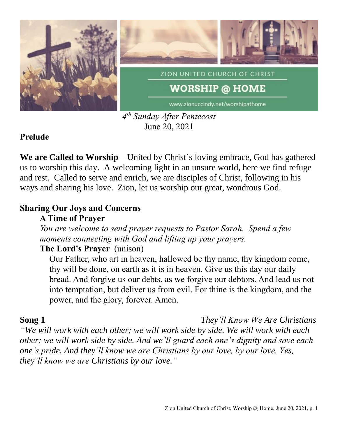

*4 th Sunday After Pentecost* June 20, 2021

### **Prelude**

**We are Called to Worship** – United by Christ's loving embrace, God has gathered us to worship this day. A welcoming light in an unsure world, here we find refuge and rest. Called to serve and enrich, we are disciples of Christ, following in his ways and sharing his love. Zion, let us worship our great, wondrous God.

## **Sharing Our Joys and Concerns**

# **A Time of Prayer**

*You are welcome to send prayer requests to Pastor Sarah. Spend a few moments connecting with God and lifting up your prayers.*

# **The Lord's Prayer** (unison)

Our Father, who art in heaven, hallowed be thy name, thy kingdom come, thy will be done, on earth as it is in heaven. Give us this day our daily bread. And forgive us our debts, as we forgive our debtors. And lead us not into temptation, but deliver us from evil. For thine is the kingdom, and the power, and the glory, forever. Amen.

**Song 1** *They'll Know We Are Christians*

*"We will work with each other; we will work side by side. We will work with each other; we will work side by side. And we'll guard each one's dignity and save each one's pride. And they'll know we are Christians by our love, by our love. Yes, they'll know we are Christians by our love."*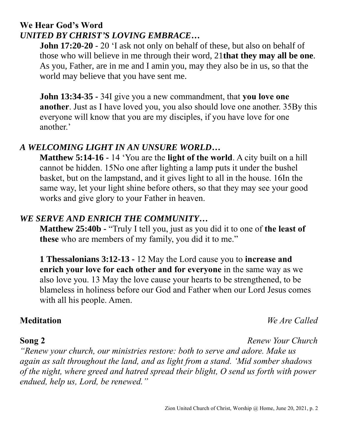# **We Hear God's Word** *UNITED BY CHRIST'S LOVING EMBRACE…*

**John 17:20-20** - 20 'I ask not only on behalf of these, but also on behalf of those who will believe in me through their word, 21**that they may all be one**. As you, Father, are in me and I amin you, may they also be in us, so that the world may believe that you have sent me.

**John 13:34-35 -** 34I give you a new commandment, that **you love one another**. Just as I have loved you, you also should love one another. 35By this everyone will know that you are my disciples, if you have love for one another.'

### *A WELCOMING LIGHT IN AN UNSURE WORLD…*

**Matthew 5:14-16 -** 14 'You are the **light of the world**. A city built on a hill cannot be hidden. 15No one after lighting a lamp puts it under the bushel basket, but on the lampstand, and it gives light to all in the house. 16In the same way, let your light shine before others, so that they may see your good works and give glory to your Father in heaven.

### *WE SERVE AND ENRICH THE COMMUNITY…*

**Matthew 25:40b -** "Truly I tell you, just as you did it to one of **the least of these** who are members of my family, you did it to me."

**1 Thessalonians 3:12-13 -** 12 May the Lord cause you to **increase and enrich your love for each other and for everyone** in the same way as we also love you. 13 May the love cause your hearts to be strengthened, to be blameless in holiness before our God and Father when our Lord Jesus comes with all his people. Amen.

#### **Meditation** *We Are Called*

**Song 2** *Renew Your Church*

*"Renew your church, our ministries restore: both to serve and adore. Make us again as salt throughout the land, and as light from a stand. 'Mid somber shadows of the night, where greed and hatred spread their blight, O send us forth with power endued, help us, Lord, be renewed."*